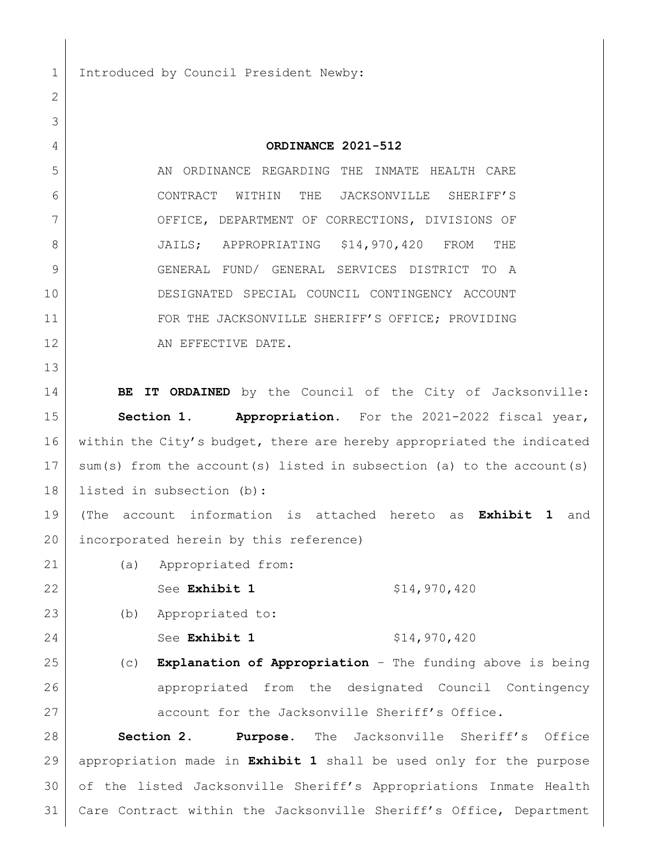1 Introduced by Council President Newby:

 **ORDINANCE 2021-512** 5 AN ORDINANCE REGARDING THE INMATE HEALTH CARE CONTRACT WITHIN THE JACKSONVILLE SHERIFF'S OFFICE, DEPARTMENT OF CORRECTIONS, DIVISIONS OF 8 JAILS; APPROPRIATING \$14,970,420 FROM THE GENERAL FUND/ GENERAL SERVICES DISTRICT TO A DESIGNATED SPECIAL COUNCIL CONTINGENCY ACCOUNT FOR THE JACKSONVILLE SHERIFF'S OFFICE; PROVIDING 12 AN EFFECTIVE DATE. **BE IT ORDAINED** by the Council of the City of Jacksonville: **Section 1. Appropriation.** For the 2021-2022 fiscal year, 16 within the City's budget, there are hereby appropriated the indicated sum(s) from the account(s) listed in subsection (a) to the account(s) listed in subsection (b): (The account information is attached hereto as **Exhibit 1** and 20 incorporated herein by this reference) (a) Appropriated from: 22 See **Exhibit 1** \$14,970,420 (b) Appropriated to: 24 See **Exhibit 1** \$14,970,420 (c) **Explanation of Appropriation** – The funding above is being appropriated from the designated Council Contingency 27 account for the Jacksonville Sheriff's Office. **Section 2. Purpose.** The Jacksonville Sheriff's Office appropriation made in **Exhibit 1** shall be used only for the purpose of the listed Jacksonville Sheriff's Appropriations Inmate Health Care Contract within the Jacksonville Sheriff's Office, Department